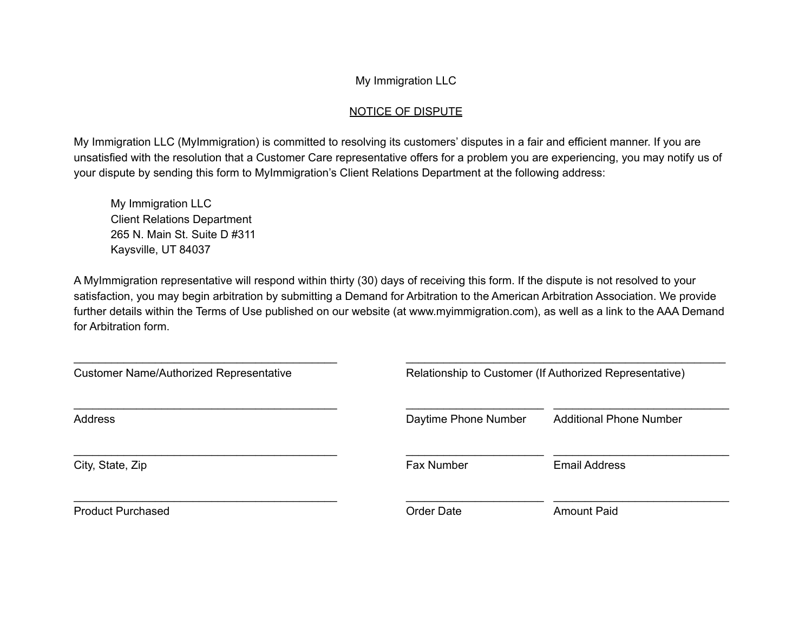## My Immigration LLC

## NOTICE OF DISPUTE

My Immigration LLC (MyImmigration) is committed to resolving its customers' disputes in a fair and efficient manner. If you are unsatisfied with the resolution that a Customer Care representative offers for a problem you are experiencing, you may notify us of your dispute by sending this form to MyImmigration's Client Relations Department at the following address:

My Immigration LLC Client Relations Department 265 N. Main St. Suite D #311 Kaysville, UT 84037

A MyImmigration representative will respond within thirty (30) days of receiving this form. If the dispute is not resolved to your satisfaction, you may begin arbitration by submitting a Demand for Arbitration to the American Arbitration Association. We provide further details within the Terms of Use published on our website (at www.myimmigration.com), as well as a link to the AAA Demand for Arbitration form.

| <b>Customer Name/Authorized Representative</b> | Relationship to Customer (If Authorized Representative) |                                |
|------------------------------------------------|---------------------------------------------------------|--------------------------------|
| <b>Address</b>                                 | Daytime Phone Number                                    | <b>Additional Phone Number</b> |
| City, State, Zip                               | <b>Fax Number</b>                                       | <b>Email Address</b>           |
| <b>Product Purchased</b>                       | <b>Order Date</b>                                       | <b>Amount Paid</b>             |